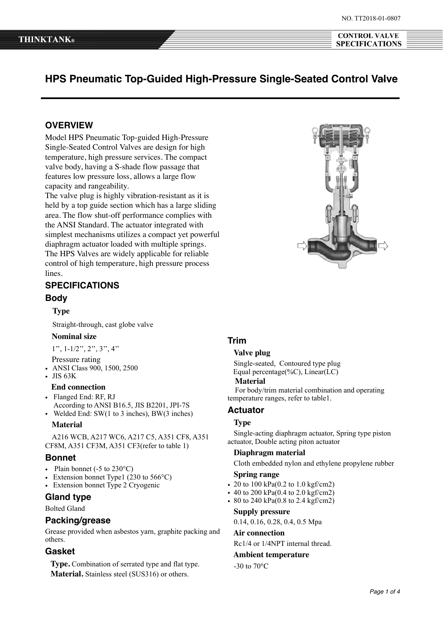**CONTROL VALVE** 

**SPECIFICATIONS** 

# **HPS Pneumatic Top-Guided High-Pressure Single-Seated Control Valve**

## **OVERVIEW**

Model HPS Pneumatic Top-guided High-Pressure Single-Seated Control Valves are design for high temperature, high pressure services. The compact valve body, having a S-shade flow passage that features low pressure loss, allows a large flow capacity and rangeability.

The valve plug is highly vibration-resistant as it is held by a top guide section which has a large sliding area. The flow shut-off performance complies with the ANSI Standard. The actuator integrated with simplest mechanisms utilizes a compact yet powerful diaphragm actuator loaded with multiple springs. The HPS Valves are widely applicable for reliable control of high temperature, high pressure process lines.

# **SPECIFICATIONS**

## **Body**

 **Type**

Straight-through, cast globe valve

## **Nominal size**

1'', 1-1/2'', 2'', 3'', 4''

- Pressure rating
- ANSI Class 900, 1500, 2500
- JIS 63K

#### **End connection**

- Flanged End: RF, RJ
- According to ANSI B16.5, JIS B2201, JPI-7S • Welded End: SW(1 to 3 inches), BW(3 inches)

#### **Material**

 A216 WCB, A217 WC6, A217 C5, A351 CF8, A351 CF8M, A351 CF3M, A351 CF3(refer to table 1)

#### **Bonnet**

- Plain bonnet ( $-5$  to  $230^{\circ}$ C)
- Extension bonnet Type1 (230 to  $566^{\circ}$ C)
- Extension bonnet Type 2 Cryogenic

#### **Gland type**

Bolted Gland

#### **Packing/grease**

Grease provided when asbestos yarn, graphite packing and others.

## **Gasket**

 **Type.** Combination of serrated type and flat type. **Material.** Stainless steel (SUS316) or others.

### **Trim**

#### **Valve plug**

 Single-seated, Contoured type plug Equal percentage(% $C$ ), Linear(LC)

#### **Material**

 For body/trim material combination and operating temperature ranges, refer to table1.

#### **Actuator**

### **Type**

 Single-acting diaphragm actuator, Spring type piston actuator, Double acting piton actuator

#### **Diaphragm material**

Cloth embedded nylon and ethylene propylene rubber

### **Spring range**

- 20 to 100 kPa(0.2 to 1.0 kgf/cm2)
- 40 to 200 kPa(0.4 to 2.0 kgf/cm2)
- 80 to 240 kPa $(0.8 \text{ to } 2.4 \text{ kgf/cm2})$

#### **Supply pressure**

0.14, 0.16, 0.28, 0.4, 0.5 Mpa

#### **Air connection**

Rc1/4 or 1/4NPT internal thread.

### **Ambient temperature**

-30 to 70℃

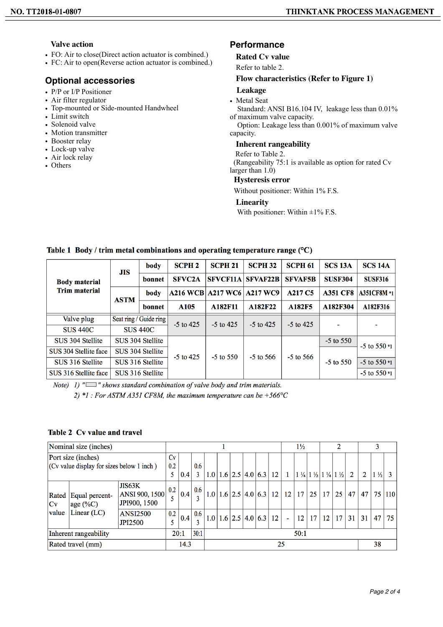## **Valve action**

- FO: Air to close(Direct action actuator is combined.)
- FC: Air to open(Reverse action actuator is combined.)

# **Optional accessories**

- P/P or I/P Positioner
- Air filter regulator
- Top-mounted or Side-mounted Handwheel
- Limit switch
- Solenoid valve
- Motion transmitter
- Booster relay
- Lock-up valve
- Air lock relay
- Others

# **Performance**

## **Rated Cv value**

Refer to table 2.

## **Flow characteristics (Refer to Figure 1)**

# **Leakage**

• Metal Seat

 Standard: ANSI B16.104 IV, leakage less than 0.01% of maximum valve capacity.

 Option: Leakage less than 0.001% of maximum valve capacity.

## **Inherent rangeability**

# Refer to Table 2.

 (Rangeability 75:1 is available as option for rated Cv larger than 1.0)

### **Hysteresis error**

Without positioner: Within 1% F.S.

## **Linearity**

With positioner: Within  $\pm 1\%$  F.S.

## Table 1 Body / trim metal combinations and operating temperature range  $(°C)$

|                       | <b>JIS</b>                                | body             | <b>SCPH 2</b>    | <b>SCPH 21</b>           | <b>SCPH 32</b>  | <b>SCPH 61</b>                  | <b>SCS 13A</b>  | <b>SCS 14A</b>         |  |
|-----------------------|-------------------------------------------|------------------|------------------|--------------------------|-----------------|---------------------------------|-----------------|------------------------|--|
| <b>Body material</b>  |                                           | bonnet           | <b>SFVC2A</b>    | <b>SFVCF11A</b>          | <b>SFVAF22B</b> | <b>SFVAF5B</b>                  | <b>SUSF304</b>  | <b>SUSF316</b>         |  |
| <b>Trim material</b>  | <b>ASTM</b>                               | body             |                  | <b>A216 WCB A217 WC6</b> | <b>A217 WC9</b> | A <sub>217</sub> C <sub>5</sub> | <b>A351 CF8</b> | <b>A351CF8M *1</b>     |  |
|                       |                                           | bonnet           | A <sub>105</sub> | A182F11                  | A182F22         | A182F5                          | A182F304        | A182F316               |  |
| Valve plug            | Seat ring / Guide ring<br><b>SUS 440C</b> |                  | $-5$ to 425      | $-5$ to 425              | $-5$ to 425     | $-5$ to 425                     |                 |                        |  |
| <b>SUS 440C</b>       |                                           |                  |                  |                          |                 |                                 |                 |                        |  |
| SUS 304 Stellite      | SUS 304 Stellite                          |                  |                  |                          |                 |                                 | $-5$ to $550$   | $-5$ to 550 $*1$       |  |
| SUS 304 Stellite face |                                           | SUS 304 Stellite | $-5$ to 425      | $-5$ to $550$            | $-5$ to 566     | $-5$ to 566                     |                 |                        |  |
| SUS 316 Stellite      |                                           | SUS 316 Stellite |                  |                          |                 |                                 | $-5$ to $550$   | $-5$ to 550 $*1$       |  |
| SUS 316 Stellite face |                                           | SUS 316 Stellite |                  |                          |                 |                                 |                 | $-5$ to $550 \times 1$ |  |

Note) 1) " $\Box$ " shows standard combination of valve body and trim materials. 2) \*1 : For ASTM A351 CF8M, the maximum temperature can be  $+566^{\circ}$ C

## Table 2 Cv value and travel

| Nominal size (inches)                                           |                               |                                          |           |      |                  |                  |  |                   |                              | $1\frac{1}{2}$       |                 | 2  |       |    |                                                                 |    |                |                |    |     |
|-----------------------------------------------------------------|-------------------------------|------------------------------------------|-----------|------|------------------|------------------|--|-------------------|------------------------------|----------------------|-----------------|----|-------|----|-----------------------------------------------------------------|----|----------------|----------------|----|-----|
| Port size (inches)<br>(Cv value display for sizes below 1 inch) |                               |                                          | Cv<br>0.2 |      | 0.6              |                  |  |                   |                              |                      |                 |    |       |    |                                                                 |    |                |                |    |     |
|                                                                 |                               | 5                                        | 0.4       | 3    | 1.0 <sub>1</sub> |                  |  |                   | $1.6$   2.5   4.0   6.3   12 |                      | $\vert 1 \vert$ |    |       |    | $1\frac{1}{4}$ $1\frac{1}{2}$ $1\frac{1}{4}$ $1\frac{1}{2}$ $2$ |    | $\overline{2}$ | $1\frac{1}{2}$ |    |     |
| Rated<br>  <sub>Cv</sub>                                        | Equal percent-<br>age $(\%C)$ | JIS63K<br>ANSI 900, 1500<br>JPI900, 1500 | 0.2       | 0.4  | 0.6              | 1.0 <sub>1</sub> |  |                   |                              | $1.6$ 2.5 4.0 6.3 12 |                 | 12 | 17 25 |    | 17                                                              | 25 | 47             | 47             | 75 | 110 |
| value                                                           | Linear $(LC)$                 | <b>ANSI2500</b><br><b>JPI2500</b>        | 0.2       | 0.4  | 0.6              | 1.0              |  | $1.6$ 2.5 4.0 6.3 |                              |                      | 12              | ۰  | 12    | 17 | 12                                                              | 17 | 31             | 31             | 47 | 75  |
| Inherent rangeability                                           |                               | 20:1                                     |           | 30:1 | 50:1             |                  |  |                   |                              |                      |                 |    |       |    |                                                                 |    |                |                |    |     |
| Rated travel (mm)                                               |                               |                                          | 14.3      |      | 25               |                  |  |                   |                              |                      | 38              |    |       |    |                                                                 |    |                |                |    |     |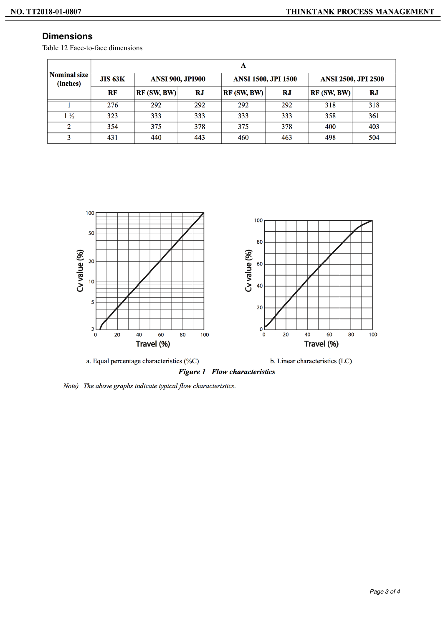# **Dimensions**

Table 12 Face-to-face dimensions

|                                 | A              |                         |           |                            |     |                            |           |  |  |  |  |  |  |
|---------------------------------|----------------|-------------------------|-----------|----------------------------|-----|----------------------------|-----------|--|--|--|--|--|--|
| <b>Nominal size</b><br>(inches) | <b>JIS 63K</b> | <b>ANSI 900, JPI900</b> |           | <b>ANSI 1500, JPI 1500</b> |     | <b>ANSI 2500, JPI 2500</b> |           |  |  |  |  |  |  |
|                                 | $\bf RF$       | RF(SW, BW)              | <b>RJ</b> | RF(SW, BW)                 | RJ  | RF(SW, BW)                 | <b>RJ</b> |  |  |  |  |  |  |
|                                 | 276            | 292                     | 292       | 292                        | 292 | 318                        | 318       |  |  |  |  |  |  |
| $1\frac{1}{2}$                  | 323            | 333                     | 333       | 333                        | 333 | 358                        | 361       |  |  |  |  |  |  |
| $\overline{2}$                  | 354            | 375                     | 378       | 375                        | 378 | 400                        | 403       |  |  |  |  |  |  |
| 3                               | 431            | 440                     | 443       | 460                        | 463 | 498                        | 504       |  |  |  |  |  |  |



Note) The above graphs indicate typical flow characteristics.